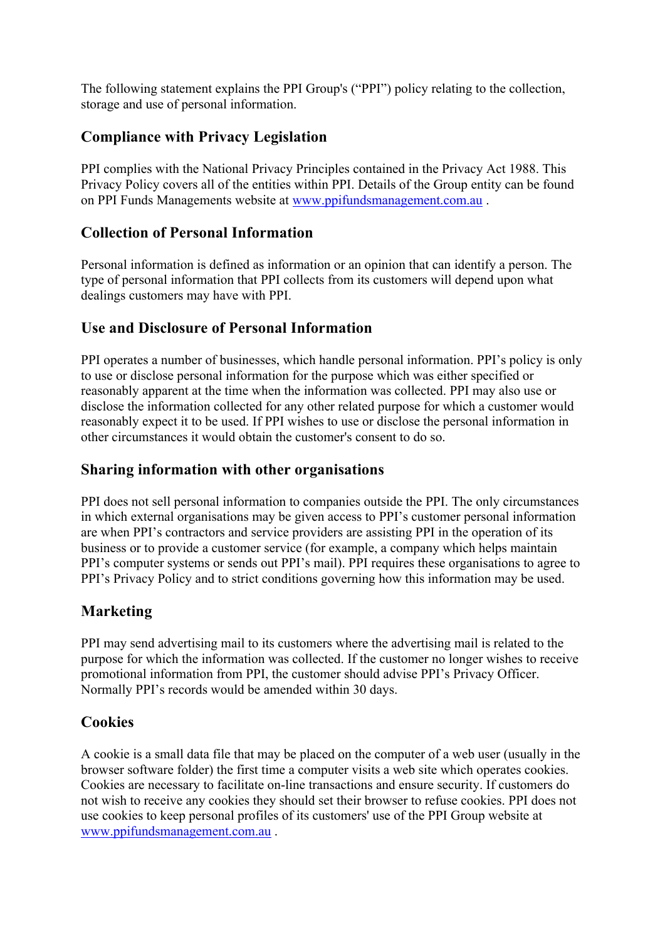The following statement explains the PPI Group's ("PPI") policy relating to the collection, storage and use of personal information.

# **Compliance with Privacy Legislation**

PPI complies with the National Privacy Principles contained in the Privacy Act 1988. This Privacy Policy covers all of the entities within PPI. Details of the Group entity can be found on PPI Funds Managements website at www.ppifundsmanagement.com.au .

#### **Collection of Personal Information**

Personal information is defined as information or an opinion that can identify a person. The type of personal information that PPI collects from its customers will depend upon what dealings customers may have with PPI.

## **Use and Disclosure of Personal Information**

PPI operates a number of businesses, which handle personal information. PPI's policy is only to use or disclose personal information for the purpose which was either specified or reasonably apparent at the time when the information was collected. PPI may also use or disclose the information collected for any other related purpose for which a customer would reasonably expect it to be used. If PPI wishes to use or disclose the personal information in other circumstances it would obtain the customer's consent to do so.

#### **Sharing information with other organisations**

PPI does not sell personal information to companies outside the PPI. The only circumstances in which external organisations may be given access to PPI's customer personal information are when PPI's contractors and service providers are assisting PPI in the operation of its business or to provide a customer service (for example, a company which helps maintain PPI's computer systems or sends out PPI's mail). PPI requires these organisations to agree to PPI's Privacy Policy and to strict conditions governing how this information may be used.

## **Marketing**

PPI may send advertising mail to its customers where the advertising mail is related to the purpose for which the information was collected. If the customer no longer wishes to receive promotional information from PPI, the customer should advise PPI's Privacy Officer. Normally PPI's records would be amended within 30 days.

## **Cookies**

A cookie is a small data file that may be placed on the computer of a web user (usually in the browser software folder) the first time a computer visits a web site which operates cookies. Cookies are necessary to facilitate on-line transactions and ensure security. If customers do not wish to receive any cookies they should set their browser to refuse cookies. PPI does not use cookies to keep personal profiles of its customers' use of the PPI Group website at www.ppifundsmanagement.com.au .